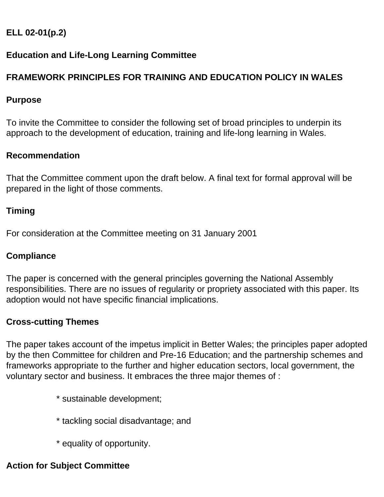# **ELL 02-01(p.2)**

### **Education and Life-Long Learning Committee**

# **FRAMEWORK PRINCIPLES FOR TRAINING AND EDUCATION POLICY IN WALES**

#### **Purpose**

To invite the Committee to consider the following set of broad principles to underpin its approach to the development of education, training and life-long learning in Wales.

#### **Recommendation**

That the Committee comment upon the draft below. A final text for formal approval will be prepared in the light of those comments.

#### **Timing**

For consideration at the Committee meeting on 31 January 2001

#### **Compliance**

The paper is concerned with the general principles governing the National Assembly responsibilities. There are no issues of regularity or propriety associated with this paper. Its adoption would not have specific financial implications.

#### **Cross-cutting Themes**

The paper takes account of the impetus implicit in Better Wales; the principles paper adopted by the then Committee for children and Pre-16 Education; and the partnership schemes and frameworks appropriate to the further and higher education sectors, local government, the voluntary sector and business. It embraces the three major themes of :

- \* sustainable development;
- \* tackling social disadvantage; and
- \* equality of opportunity.

### **Action for Subject Committee**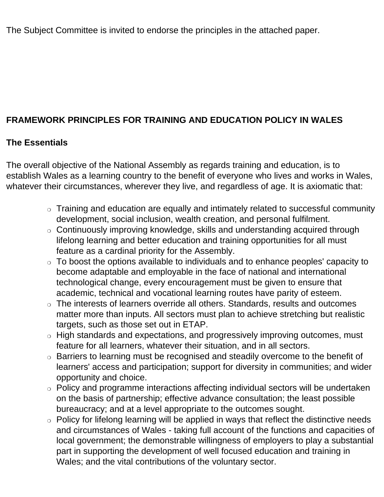The Subject Committee is invited to endorse the principles in the attached paper.

# **FRAMEWORK PRINCIPLES FOR TRAINING AND EDUCATION POLICY IN WALES**

#### **The Essentials**

The overall objective of the National Assembly as regards training and education, is to establish Wales as a learning country to the benefit of everyone who lives and works in Wales, whatever their circumstances, wherever they live, and regardless of age. It is axiomatic that:

- ❍ Training and education are equally and intimately related to successful community development, social inclusion, wealth creation, and personal fulfilment.
- ❍ Continuously improving knowledge, skills and understanding acquired through lifelong learning and better education and training opportunities for all must feature as a cardinal priority for the Assembly.
- ❍ To boost the options available to individuals and to enhance peoples' capacity to become adaptable and employable in the face of national and international technological change, every encouragement must be given to ensure that academic, technical and vocational learning routes have parity of esteem.
- ❍ The interests of learners override all others. Standards, results and outcomes matter more than inputs. All sectors must plan to achieve stretching but realistic targets, such as those set out in ETAP.
- ❍ High standards and expectations, and progressively improving outcomes, must feature for all learners, whatever their situation, and in all sectors.
- ❍ Barriers to learning must be recognised and steadily overcome to the benefit of learners' access and participation; support for diversity in communities; and wider opportunity and choice.
- ❍ Policy and programme interactions affecting individual sectors will be undertaken on the basis of partnership; effective advance consultation; the least possible bureaucracy; and at a level appropriate to the outcomes sought.
- ❍ Policy for lifelong learning will be applied in ways that reflect the distinctive needs and circumstances of Wales - taking full account of the functions and capacities of local government; the demonstrable willingness of employers to play a substantial part in supporting the development of well focused education and training in Wales; and the vital contributions of the voluntary sector.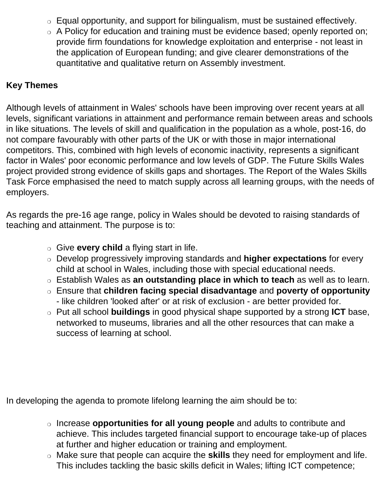- ❍ Equal opportunity, and support for bilingualism, must be sustained effectively.
- ❍ A Policy for education and training must be evidence based; openly reported on; provide firm foundations for knowledge exploitation and enterprise - not least in the application of European funding; and give clearer demonstrations of the quantitative and qualitative return on Assembly investment.

#### **Key Themes**

Although levels of attainment in Wales' schools have been improving over recent years at all levels, significant variations in attainment and performance remain between areas and schools in like situations. The levels of skill and qualification in the population as a whole, post-16, do not compare favourably with other parts of the UK or with those in major international competitors. This, combined with high levels of economic inactivity, represents a significant factor in Wales' poor economic performance and low levels of GDP. The Future Skills Wales project provided strong evidence of skills gaps and shortages. The Report of the Wales Skills Task Force emphasised the need to match supply across all learning groups, with the needs of employers.

As regards the pre-16 age range, policy in Wales should be devoted to raising standards of teaching and attainment. The purpose is to:

- ❍ Give **every child** a flying start in life.
- ❍ Develop progressively improving standards and **higher expectations** for every child at school in Wales, including those with special educational needs.
- ❍ Establish Wales as **an outstanding place in which to teach** as well as to learn.
- ❍ Ensure that **children facing special disadvantage** and **poverty of opportunity** - like children 'looked after' or at risk of exclusion - are better provided for.
- ❍ Put all school **buildings** in good physical shape supported by a strong **ICT** base, networked to museums, libraries and all the other resources that can make a success of learning at school.

In developing the agenda to promote lifelong learning the aim should be to:

- ❍ Increase **opportunities for all young people** and adults to contribute and achieve. This includes targeted financial support to encourage take-up of places at further and higher education or training and employment.
- ❍ Make sure that people can acquire the **skills** they need for employment and life. This includes tackling the basic skills deficit in Wales; lifting ICT competence;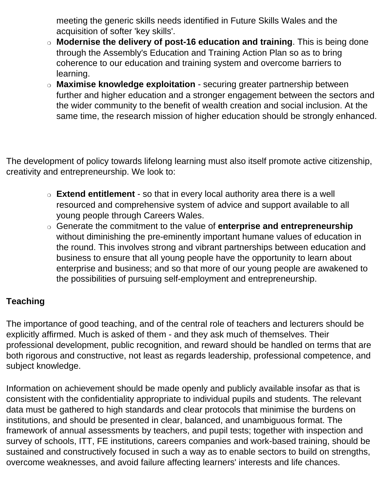meeting the generic skills needs identified in Future Skills Wales and the acquisition of softer 'key skills'.

- ❍ **Modernise the delivery of post-16 education and training**. This is being done through the Assembly's Education and Training Action Plan so as to bring coherence to our education and training system and overcome barriers to learning.
- ❍ **Maximise knowledge exploitation** securing greater partnership between further and higher education and a stronger engagement between the sectors and the wider community to the benefit of wealth creation and social inclusion. At the same time, the research mission of higher education should be strongly enhanced.

The development of policy towards lifelong learning must also itself promote active citizenship, creativity and entrepreneurship. We look to:

- ❍ **Extend entitlement** so that in every local authority area there is a well resourced and comprehensive system of advice and support available to all young people through Careers Wales.
- ❍ Generate the commitment to the value of **enterprise and entrepreneurship** without diminishing the pre-eminently important humane values of education in the round. This involves strong and vibrant partnerships between education and business to ensure that all young people have the opportunity to learn about enterprise and business; and so that more of our young people are awakened to the possibilities of pursuing self-employment and entrepreneurship.

## **Teaching**

The importance of good teaching, and of the central role of teachers and lecturers should be explicitly affirmed. Much is asked of them - and they ask much of themselves. Their professional development, public recognition, and reward should be handled on terms that are both rigorous and constructive, not least as regards leadership, professional competence, and subject knowledge.

Information on achievement should be made openly and publicly available insofar as that is consistent with the confidentiality appropriate to individual pupils and students. The relevant data must be gathered to high standards and clear protocols that minimise the burdens on institutions, and should be presented in clear, balanced, and unambiguous format. The framework of annual assessments by teachers, and pupil tests; together with inspection and survey of schools, ITT, FE institutions, careers companies and work-based training, should be sustained and constructively focused in such a way as to enable sectors to build on strengths, overcome weaknesses, and avoid failure affecting learners' interests and life chances.